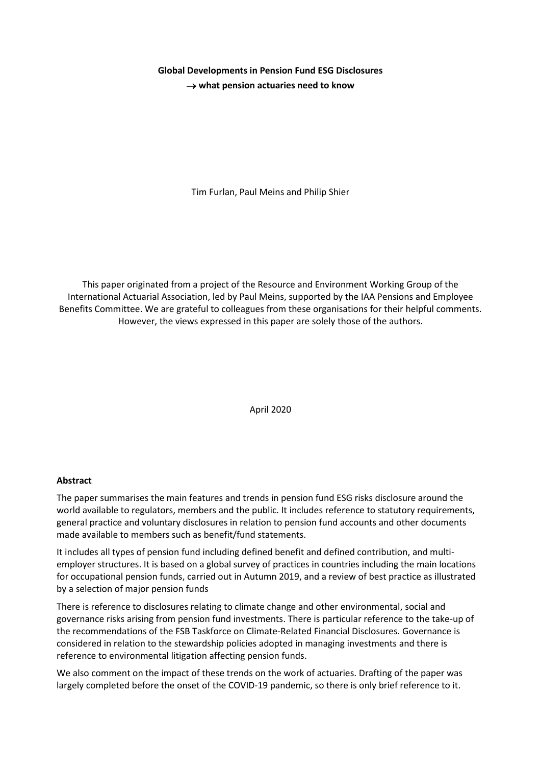# **Global Developments in Pension Fund ESG Disclosures** → **what pension actuaries need to know**

Tim Furlan, Paul Meins and Philip Shier

This paper originated from a project of the Resource and Environment Working Group of the International Actuarial Association, led by Paul Meins, supported by the IAA Pensions and Employee Benefits Committee. We are grateful to colleagues from these organisations for their helpful comments. However, the views expressed in this paper are solely those of the authors.

April 2020

#### **Abstract**

The paper summarises the main features and trends in pension fund ESG risks disclosure around the world available to regulators, members and the public. It includes reference to statutory requirements, general practice and voluntary disclosures in relation to pension fund accounts and other documents made available to members such as benefit/fund statements.

It includes all types of pension fund including defined benefit and defined contribution, and multiemployer structures. It is based on a global survey of practices in countries including the main locations for occupational pension funds, carried out in Autumn 2019, and a review of best practice as illustrated by a selection of major pension funds

There is reference to disclosures relating to climate change and other environmental, social and governance risks arising from pension fund investments. There is particular reference to the take-up of the recommendations of the FSB Taskforce on Climate-Related Financial Disclosures. Governance is considered in relation to the stewardship policies adopted in managing investments and there is reference to environmental litigation affecting pension funds.

We also comment on the impact of these trends on the work of actuaries. Drafting of the paper was largely completed before the onset of the COVID-19 pandemic, so there is only brief reference to it.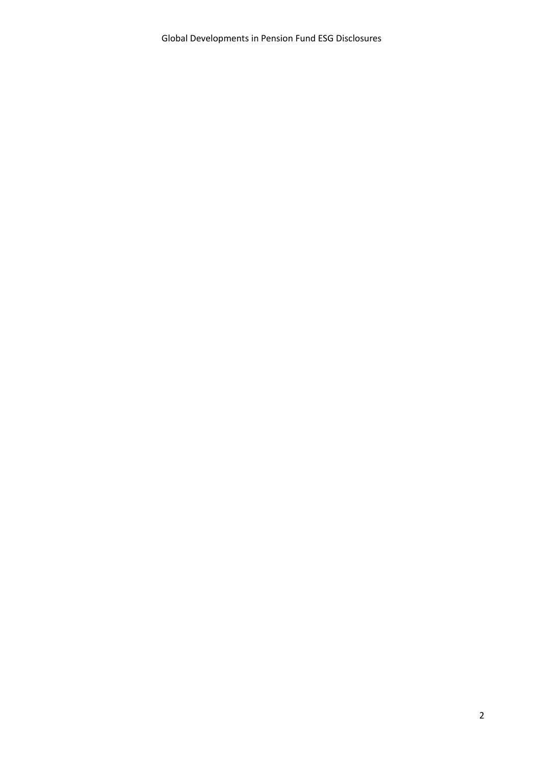Global Developments in Pension Fund ESG Disclosures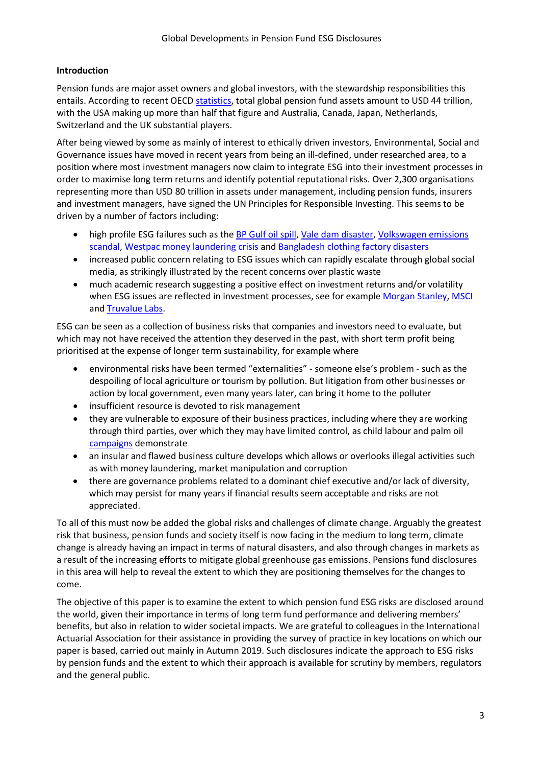# **Introduction**

Pension funds are major asset owners and global investors, with the stewardship responsibilities this entails. According to recent OECD [statistics,](https://www.oecd.org/finance/private-pensions/pensionmarketsinfocus.htm) total global pension fund assets amount to USD 44 trillion, with the USA making up more than half that figure and Australia, Canada, Japan, Netherlands, Switzerland and the UK substantial players.

After being viewed by some as mainly of interest to ethically driven investors, Environmental, Social and Governance issues have moved in recent years from being an ill-defined, under researched area, to a position where most investment managers now claim to integrate ESG into their investment processes in order to maximise long term returns and identify potential reputational risks. Over 2,300 organisations representing more than USD 80 trillion in assets under management, including pension funds, insurers and investment managers, have signed the UN Principles for Responsible Investing. This seems to be driven by a number of factors including:

- high profile ESG failures such as the [BP Gulf oil spill,](https://www.epa.gov/enforcement/deepwater-horizon-bp-gulf-mexico-oil-spill) [Vale dam disaster,](https://www.bbc.co.uk/news/business-47432134) [Volkswagen emissions](https://www.independent.co.uk/topic/volkswagen-emissions-scandal)  [scandal,](https://www.independent.co.uk/topic/volkswagen-emissions-scandal) [Westpac money laundering crisis](https://www.smh.com.au/business/banking-and-finance/super-fund-hesta-pushes-westpac-board-for-more-action-20191128-p53f22.html) and [Bangladesh clothing factory disasters](https://www.ilo.org/global/topics/geip/WCMS_614394/lang--en/index.htm)
- increased public concern relating to ESG issues which can rapidly escalate through global social media, as strikingly illustrated by the recent concerns over plastic waste
- much academic research suggesting a positive effect on investment returns and/or volatility when ESG issues are reflected in investment processes, see for exampl[e Morgan Stanley,](https://www.morganstanley.com/content/dam/msdotcom/ideas/sustainable-investing-offers-financial-performance-lowered-risk/Sustainable_Reality_Analyzing_Risk_and_Returns_of_Sustainable_Funds.pdf) [MSCI](https://www.msci.com/documents/10199/03d6faef-2394-44e9-a119-4ca130909226) and [Truvalue Labs.](https://www.truvaluelabs.com/wp-content/uploads/2018/05/WP_PerfTest_R1k.pdf)

ESG can be seen as a collection of business risks that companies and investors need to evaluate, but which may not have received the attention they deserved in the past, with short term profit being prioritised at the expense of longer term sustainability, for example where

- environmental risks have been termed "externalities" someone else's problem such as the despoiling of local agriculture or tourism by pollution. But litigation from other businesses or action by local government, even many years later, can bring it home to the polluter
- insufficient resource is devoted to risk management
- they are vulnerable to exposure of their business practices, including where they are working through third parties, over which they may have limited control, as child labour and palm oil [campaigns](https://www.careeraddict.com/10-companies-that-still-use-child-labor) demonstrate
- an insular and flawed business culture develops which allows or overlooks illegal activities such as with money laundering, market manipulation and corruption
- there are governance problems related to a dominant chief executive and/or lack of diversity, which may persist for many years if financial results seem acceptable and risks are not appreciated.

To all of this must now be added the global risks and challenges of climate change. Arguably the greatest risk that business, pension funds and society itself is now facing in the medium to long term, climate change is already having an impact in terms of natural disasters, and also through changes in markets as a result of the increasing efforts to mitigate global greenhouse gas emissions. Pensions fund disclosures in this area will help to reveal the extent to which they are positioning themselves for the changes to come.

The objective of this paper is to examine the extent to which pension fund ESG risks are disclosed around the world, given their importance in terms of long term fund performance and delivering members' benefits, but also in relation to wider societal impacts. We are grateful to colleagues in the International Actuarial Association for their assistance in providing the survey of practice in key locations on which our paper is based, carried out mainly in Autumn 2019. Such disclosures indicate the approach to ESG risks by pension funds and the extent to which their approach is available for scrutiny by members, regulators and the general public.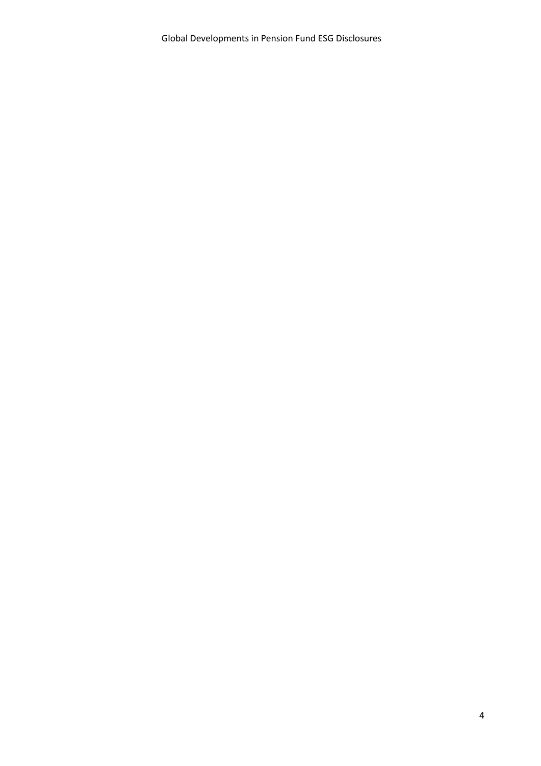Global Developments in Pension Fund ESG Disclosures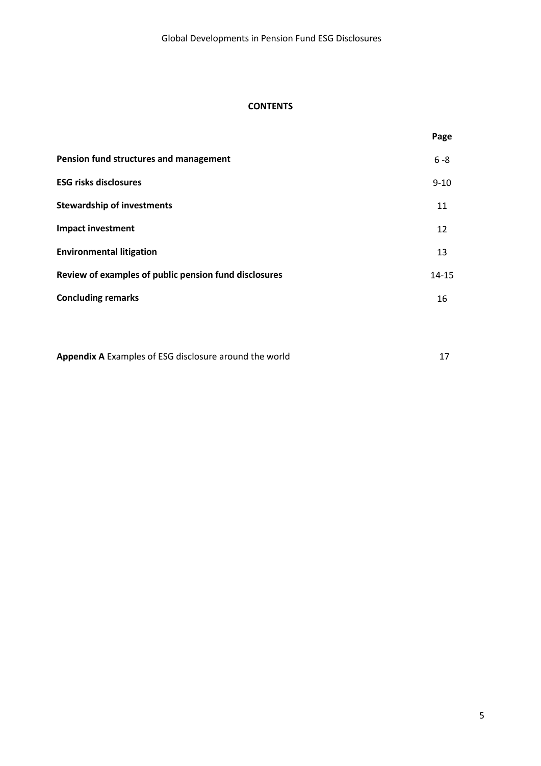# **CONTENTS**

|                                                       | Page      |
|-------------------------------------------------------|-----------|
| Pension fund structures and management                | $6 - 8$   |
| <b>ESG risks disclosures</b>                          | $9 - 10$  |
| <b>Stewardship of investments</b>                     | 11        |
| <b>Impact investment</b>                              | 12        |
| <b>Environmental litigation</b>                       | 13        |
| Review of examples of public pension fund disclosures | $14 - 15$ |
| <b>Concluding remarks</b>                             | 16        |

| Appendix A Examples of ESG disclosure around the world |  |
|--------------------------------------------------------|--|
|                                                        |  |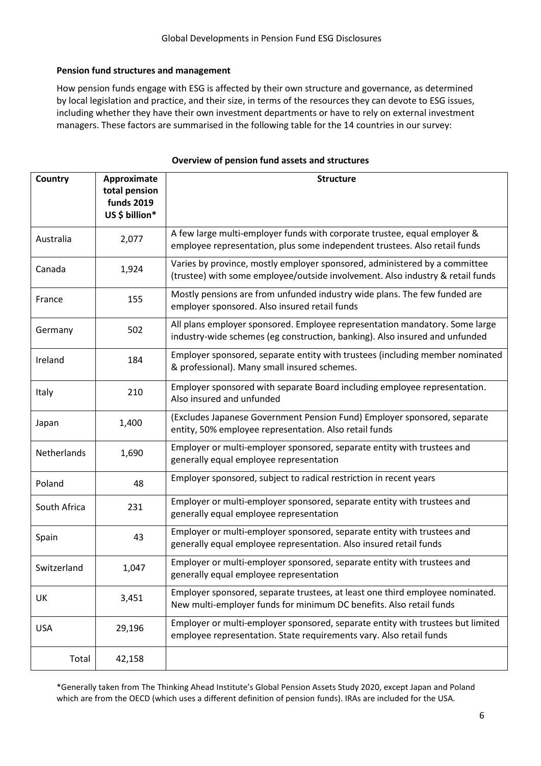#### **Pension fund structures and management**

How pension funds engage with ESG is affected by their own structure and governance, as determined by local legislation and practice, and their size, in terms of the resources they can devote to ESG issues, including whether they have their own investment departments or have to rely on external investment managers. These factors are summarised in the following table for the 14 countries in our survey:

| Country      | Approximate<br>total pension<br><b>funds 2019</b><br>US \$ billion* | <b>Structure</b>                                                                                                                                             |
|--------------|---------------------------------------------------------------------|--------------------------------------------------------------------------------------------------------------------------------------------------------------|
| Australia    | 2,077                                                               | A few large multi-employer funds with corporate trustee, equal employer &<br>employee representation, plus some independent trustees. Also retail funds      |
| Canada       | 1,924                                                               | Varies by province, mostly employer sponsored, administered by a committee<br>(trustee) with some employee/outside involvement. Also industry & retail funds |
| France       | 155                                                                 | Mostly pensions are from unfunded industry wide plans. The few funded are<br>employer sponsored. Also insured retail funds                                   |
| Germany      | 502                                                                 | All plans employer sponsored. Employee representation mandatory. Some large<br>industry-wide schemes (eg construction, banking). Also insured and unfunded   |
| Ireland      | 184                                                                 | Employer sponsored, separate entity with trustees (including member nominated<br>& professional). Many small insured schemes.                                |
| Italy        | 210                                                                 | Employer sponsored with separate Board including employee representation.<br>Also insured and unfunded                                                       |
| Japan        | 1,400                                                               | (Excludes Japanese Government Pension Fund) Employer sponsored, separate<br>entity, 50% employee representation. Also retail funds                           |
| Netherlands  | 1,690                                                               | Employer or multi-employer sponsored, separate entity with trustees and<br>generally equal employee representation                                           |
| Poland       | 48                                                                  | Employer sponsored, subject to radical restriction in recent years                                                                                           |
| South Africa | 231                                                                 | Employer or multi-employer sponsored, separate entity with trustees and<br>generally equal employee representation                                           |
| Spain        | 43                                                                  | Employer or multi-employer sponsored, separate entity with trustees and<br>generally equal employee representation. Also insured retail funds                |
| Switzerland  | 1,047                                                               | Employer or multi-employer sponsored, separate entity with trustees and<br>generally equal employee representation                                           |
| UK           | 3,451                                                               | Employer sponsored, separate trustees, at least one third employee nominated.<br>New multi-employer funds for minimum DC benefits. Also retail funds         |
| <b>USA</b>   | 29,196                                                              | Employer or multi-employer sponsored, separate entity with trustees but limited<br>employee representation. State requirements vary. Also retail funds       |
| Total        | 42,158                                                              |                                                                                                                                                              |

#### **Overview of pension fund assets and structures**

\*Generally taken from The Thinking Ahead Institute's Global Pension Assets Study 2020, except Japan and Poland which are from the OECD (which uses a different definition of pension funds). IRAs are included for the USA.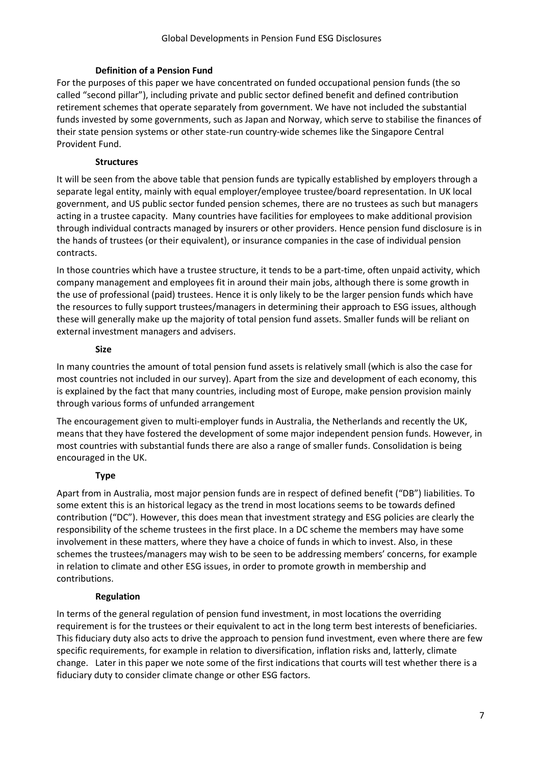### **Definition of a Pension Fund**

For the purposes of this paper we have concentrated on funded occupational pension funds (the so called "second pillar"), including private and public sector defined benefit and defined contribution retirement schemes that operate separately from government. We have not included the substantial funds invested by some governments, such as Japan and Norway, which serve to stabilise the finances of their state pension systems or other state-run country-wide schemes like the Singapore Central Provident Fund.

### **Structures**

It will be seen from the above table that pension funds are typically established by employers through a separate legal entity, mainly with equal employer/employee trustee/board representation. In UK local government, and US public sector funded pension schemes, there are no trustees as such but managers acting in a trustee capacity. Many countries have facilities for employees to make additional provision through individual contracts managed by insurers or other providers. Hence pension fund disclosure is in the hands of trustees (or their equivalent), or insurance companies in the case of individual pension contracts.

In those countries which have a trustee structure, it tends to be a part-time, often unpaid activity, which company management and employees fit in around their main jobs, although there is some growth in the use of professional (paid) trustees. Hence it is only likely to be the larger pension funds which have the resources to fully support trustees/managers in determining their approach to ESG issues, although these will generally make up the majority of total pension fund assets. Smaller funds will be reliant on external investment managers and advisers.

### **Size**

In many countries the amount of total pension fund assets is relatively small (which is also the case for most countries not included in our survey). Apart from the size and development of each economy, this is explained by the fact that many countries, including most of Europe, make pension provision mainly through various forms of unfunded arrangement

The encouragement given to multi-employer funds in Australia, the Netherlands and recently the UK, means that they have fostered the development of some major independent pension funds. However, in most countries with substantial funds there are also a range of smaller funds. Consolidation is being encouraged in the UK.

# **Type**

Apart from in Australia, most major pension funds are in respect of defined benefit ("DB") liabilities. To some extent this is an historical legacy as the trend in most locations seems to be towards defined contribution ("DC"). However, this does mean that investment strategy and ESG policies are clearly the responsibility of the scheme trustees in the first place. In a DC scheme the members may have some involvement in these matters, where they have a choice of funds in which to invest. Also, in these schemes the trustees/managers may wish to be seen to be addressing members' concerns, for example in relation to climate and other ESG issues, in order to promote growth in membership and contributions.

# **Regulation**

In terms of the general regulation of pension fund investment, in most locations the overriding requirement is for the trustees or their equivalent to act in the long term best interests of beneficiaries. This fiduciary duty also acts to drive the approach to pension fund investment, even where there are few specific requirements, for example in relation to diversification, inflation risks and, latterly, climate change. Later in this paper we note some of the first indications that courts will test whether there is a fiduciary duty to consider climate change or other ESG factors.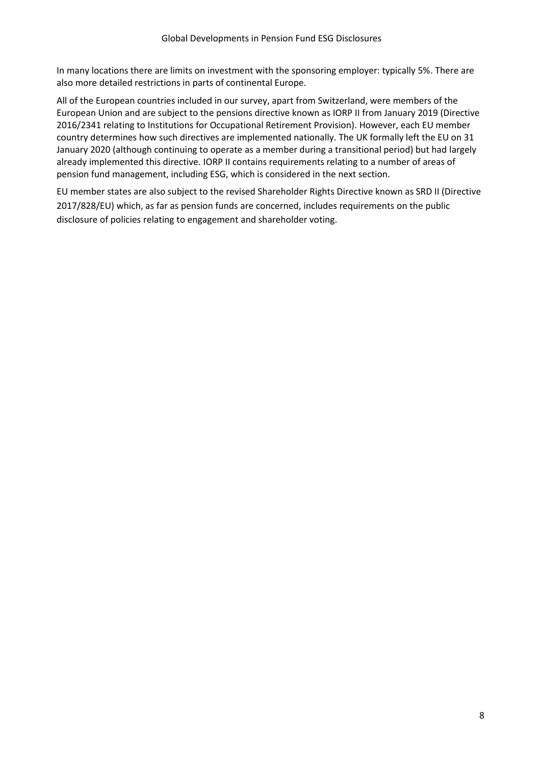In many locations there are limits on investment with the sponsoring employer: typically 5%. There are also more detailed restrictions in parts of continental Europe.

All of the European countries included in our survey, apart from Switzerland, were members of the European Union and are subject to the pensions directive known as IORP II from January 2019 (Directive 2016/2341 relating to Institutions for Occupational Retirement Provision). However, each EU member country determines how such directives are implemented nationally. The UK formally left the EU on 31 January 2020 (although continuing to operate as a member during a transitional period) but had largely already implemented this directive. IORP II contains requirements relating to a number of areas of pension fund management, including ESG, which is considered in the next section.

EU member states are also subject to the revised Shareholder Rights Directive known as SRD II (Directive 2017/828/EU) which, as far as pension funds are concerned, includes requirements on the public disclosure of policies relating to engagement and shareholder voting.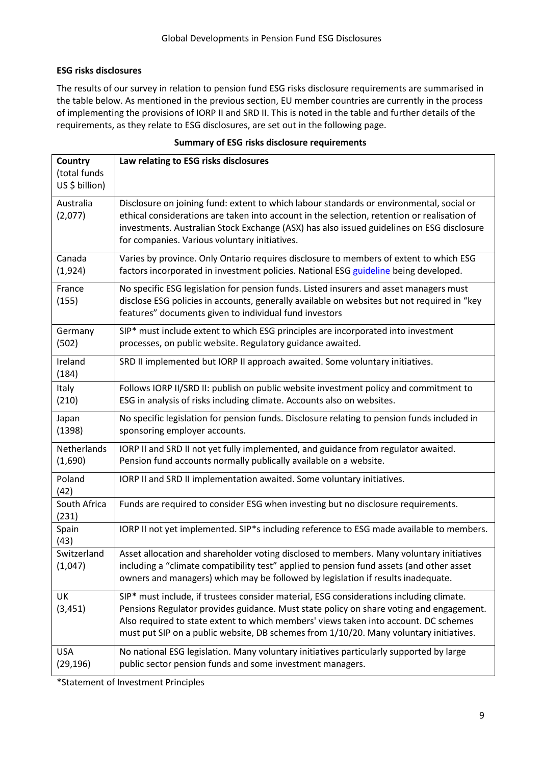# **ESG risks disclosures**

The results of our survey in relation to pension fund ESG risks disclosure requirements are summarised in the table below. As mentioned in the previous section, EU member countries are currently in the process of implementing the provisions of IORP II and SRD II. This is noted in the table and further details of the requirements, as they relate to ESG disclosures, are set out in the following page.

| Country                 | Law relating to ESG risks disclosures                                                                                                                                                                                                                                                                                                                                |
|-------------------------|----------------------------------------------------------------------------------------------------------------------------------------------------------------------------------------------------------------------------------------------------------------------------------------------------------------------------------------------------------------------|
| (total funds            |                                                                                                                                                                                                                                                                                                                                                                      |
| US \$ billion)          |                                                                                                                                                                                                                                                                                                                                                                      |
| Australia<br>(2,077)    | Disclosure on joining fund: extent to which labour standards or environmental, social or<br>ethical considerations are taken into account in the selection, retention or realisation of<br>investments. Australian Stock Exchange (ASX) has also issued guidelines on ESG disclosure<br>for companies. Various voluntary initiatives.                                |
| Canada<br>(1,924)       | Varies by province. Only Ontario requires disclosure to members of extent to which ESG<br>factors incorporated in investment policies. National ESG guideline being developed.                                                                                                                                                                                       |
| France<br>(155)         | No specific ESG legislation for pension funds. Listed insurers and asset managers must<br>disclose ESG policies in accounts, generally available on websites but not required in "key<br>features" documents given to individual fund investors                                                                                                                      |
| Germany<br>(502)        | SIP* must include extent to which ESG principles are incorporated into investment<br>processes, on public website. Regulatory guidance awaited.                                                                                                                                                                                                                      |
| Ireland<br>(184)        | SRD II implemented but IORP II approach awaited. Some voluntary initiatives.                                                                                                                                                                                                                                                                                         |
| Italy<br>(210)          | Follows IORP II/SRD II: publish on public website investment policy and commitment to<br>ESG in analysis of risks including climate. Accounts also on websites.                                                                                                                                                                                                      |
| Japan<br>(1398)         | No specific legislation for pension funds. Disclosure relating to pension funds included in<br>sponsoring employer accounts.                                                                                                                                                                                                                                         |
| Netherlands<br>(1,690)  | IORP II and SRD II not yet fully implemented, and guidance from regulator awaited.<br>Pension fund accounts normally publically available on a website.                                                                                                                                                                                                              |
| Poland<br>(42)          | IORP II and SRD II implementation awaited. Some voluntary initiatives.                                                                                                                                                                                                                                                                                               |
| South Africa<br>(231)   | Funds are required to consider ESG when investing but no disclosure requirements.                                                                                                                                                                                                                                                                                    |
| Spain<br>(43)           | IORP II not yet implemented. SIP*s including reference to ESG made available to members.                                                                                                                                                                                                                                                                             |
| Switzerland<br>(1,047)  | Asset allocation and shareholder voting disclosed to members. Many voluntary initiatives<br>including a "climate compatibility test" applied to pension fund assets (and other asset<br>owners and managers) which may be followed by legislation if results inadequate.                                                                                             |
| UK<br>(3, 451)          | SIP* must include, if trustees consider material, ESG considerations including climate.<br>Pensions Regulator provides guidance. Must state policy on share voting and engagement.<br>Also required to state extent to which members' views taken into account. DC schemes<br>must put SIP on a public website, DB schemes from 1/10/20. Many voluntary initiatives. |
| <b>USA</b><br>(29, 196) | No national ESG legislation. Many voluntary initiatives particularly supported by large<br>public sector pension funds and some investment managers.                                                                                                                                                                                                                 |

### **Summary of ESG risks disclosure requirements**

\*Statement of Investment Principles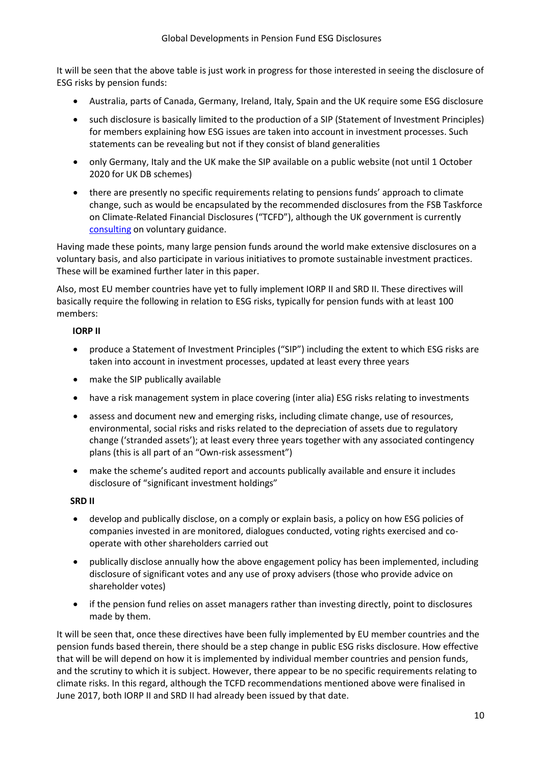It will be seen that the above table is just work in progress for those interested in seeing the disclosure of ESG risks by pension funds:

- Australia, parts of Canada, Germany, Ireland, Italy, Spain and the UK require some ESG disclosure
- such disclosure is basically limited to the production of a SIP (Statement of Investment Principles) for members explaining how ESG issues are taken into account in investment processes. Such statements can be revealing but not if they consist of bland generalities
- only Germany, Italy and the UK make the SIP available on a public website (not until 1 October 2020 for UK DB schemes)
- there are presently no specific requirements relating to pensions funds' approach to climate change, such as would be encapsulated by the recommended disclosures from the FSB Taskforce on Climate-Related Financial Disclosures ("TCFD"), although the UK government is currently [consulting](https://www.gov.uk/government/consultations/aligning-your-pension-scheme-with-the-tcfd-recommendations) on voluntary guidance.

Having made these points, many large pension funds around the world make extensive disclosures on a voluntary basis, and also participate in various initiatives to promote sustainable investment practices. These will be examined further later in this paper.

Also, most EU member countries have yet to fully implement IORP II and SRD II. These directives will basically require the following in relation to ESG risks, typically for pension funds with at least 100 members:

#### **IORP II**

- produce a Statement of Investment Principles ("SIP") including the extent to which ESG risks are taken into account in investment processes, updated at least every three years
- make the SIP publically available
- have a risk management system in place covering (inter alia) ESG risks relating to investments
- assess and document new and emerging risks, including climate change, use of resources, environmental, social risks and risks related to the depreciation of assets due to regulatory change ('stranded assets'); at least every three years together with any associated contingency plans (this is all part of an "Own-risk assessment")
- make the scheme's audited report and accounts publically available and ensure it includes disclosure of "significant investment holdings"

# **SRD II**

- develop and publically disclose, on a comply or explain basis, a policy on how ESG policies of companies invested in are monitored, dialogues conducted, voting rights exercised and cooperate with other shareholders carried out
- publically disclose annually how the above engagement policy has been implemented, including disclosure of significant votes and any use of proxy advisers (those who provide advice on shareholder votes)
- if the pension fund relies on asset managers rather than investing directly, point to disclosures made by them.

It will be seen that, once these directives have been fully implemented by EU member countries and the pension funds based therein, there should be a step change in public ESG risks disclosure. How effective that will be will depend on how it is implemented by individual member countries and pension funds, and the scrutiny to which it is subject. However, there appear to be no specific requirements relating to climate risks. In this regard, although the TCFD recommendations mentioned above were finalised in June 2017, both IORP II and SRD II had already been issued by that date.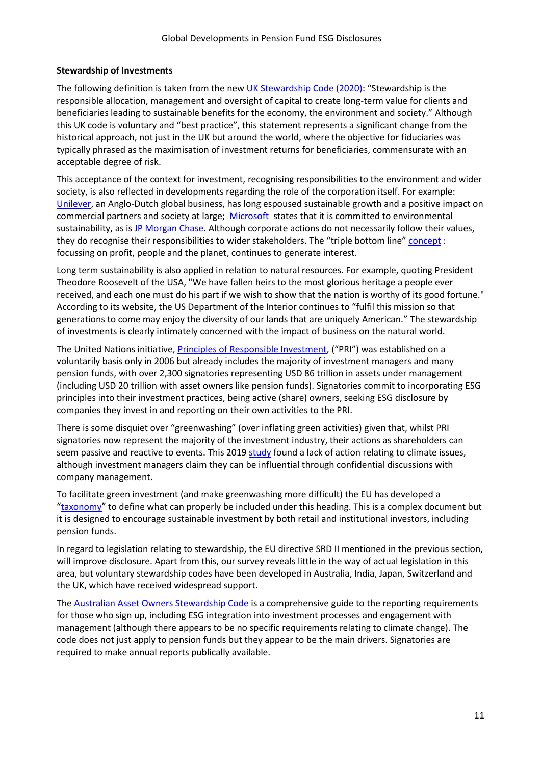### **Stewardship of Investments**

The following definition is taken from the new [UK Stewardship Code \(2020\)](https://www.frc.org.uk/getattachment/5aae591d-d9d3-4cf4-814a-d14e156a1d87/Stewardship-Code_Dec-19-Final-Corrected.pdf): "Stewardship is the responsible allocation, management and oversight of capital to create long-term value for clients and beneficiaries leading to sustainable benefits for the economy, the environment and society." Although this UK code is voluntary and "best practice", this statement represents a significant change from the historical approach, not just in the UK but around the world, where the objective for fiduciaries was typically phrased as the maximisation of investment returns for beneficiaries, commensurate with an acceptable degree of risk.

This acceptance of the context for investment, recognising responsibilities to the environment and wider society, is also reflected in developments regarding the role of the corporation itself. For example: [Unilever,](https://www.unilever.com/about/who-we-are/our-values-and-principles/) an Anglo-Dutch global business, has long espoused sustainable growth and a positive impact on commercial partners and society at large; [Microsoft](https://www.microsoft.com/en-us/corporate-responsibility/) states that it is committed to environmental sustainability, as is [JP Morgan Chase.](https://www.jpmorgan.com/country/US/EN/corporate-responsibility) Although corporate actions do not necessarily follow their values, they do recognise their responsibilities to wider stakeholders. The "triple bottom line" [concept](https://www.investopedia.com/terms/t/triple-bottom-line.asp) : focussing on profit, people and the planet, continues to generate interest.

Long term sustainability is also applied in relation to natural resources. For example, quoting President Theodore Roosevelt of the USA, "We have fallen heirs to the most glorious heritage a people ever received, and each one must do his part if we wish to show that the nation is worthy of its good fortune." According to its website, the US Department of the Interior continues to "fulfil this mission so that generations to come may enjoy the diversity of our lands that are uniquely American." The stewardship of investments is clearly intimately concerned with the impact of business on the natural world.

The United Nations initiative, [Principles of Responsible Investment,](https://www.unpri.org/pri) ("PRI") was established on a voluntarily basis only in 2006 but already includes the majority of investment managers and many pension funds, with over 2,300 signatories representing USD 86 trillion in assets under management (including USD 20 trillion with asset owners like pension funds). Signatories commit to incorporating ESG principles into their investment practices, being active (share) owners, seeking ESG disclosure by companies they invest in and reporting on their own activities to the PRI.

There is some disquiet over "greenwashing" (over inflating green activities) given that, whilst PRI signatories now represent the majority of the investment industry, their actions as shareholders can seem passive and reactive to events. This 2019 [study](https://uk.reuters.com/article/uk-usa-funds-index-climatechange/biggest-u-s-index-funds-oppose-most-climate-proposals-in-shareholder-votes-idUKKBN1WN15S) found a lack of action relating to climate issues, although investment managers claim they can be influential through confidential discussions with company management.

To facilitate green investment (and make greenwashing more difficult) the EU has developed a "[taxonomy](https://www.euractiv.com/section/energy-environment/news/eu-reaches-milestone-by-agreeing-on-green-criteria-for-finance/)" to define what can properly be included under this heading. This is a complex document but it is designed to encourage sustainable investment by both retail and institutional investors, including pension funds.

In regard to legislation relating to stewardship, the EU directive SRD II mentioned in the previous section, will improve disclosure. Apart from this, our survey reveals little in the way of actual legislation in this area, but voluntary stewardship codes have been developed in Australia, India, Japan, Switzerland and the UK, which have received widespread support.

Th[e Australian Asset Owners Stewardship Code](https://www.icgn.org/sites/default/files/Australian%20Code.pdf) is a comprehensive guide to the reporting requirements for those who sign up, including ESG integration into investment processes and engagement with management (although there appears to be no specific requirements relating to climate change). The code does not just apply to pension funds but they appear to be the main drivers. Signatories are required to make annual reports publically available.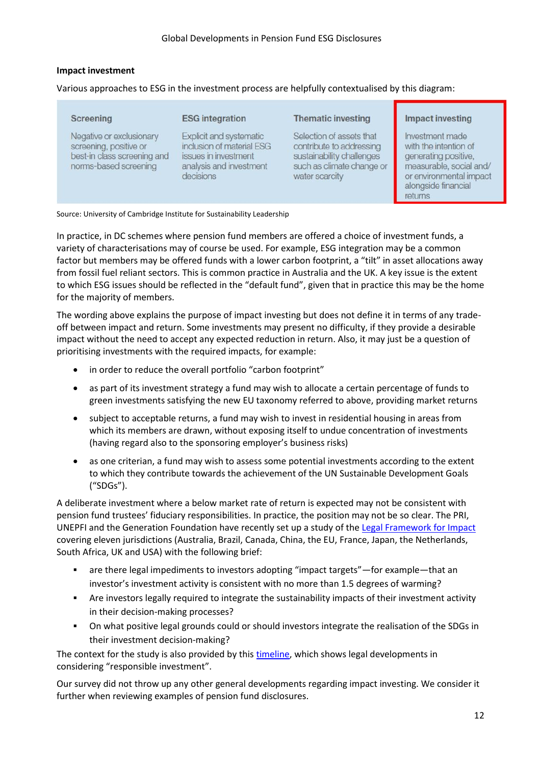#### **Impact investment**

Various approaches to ESG in the investment process are helpfully contextualised by this diagram:

| Screening                                                                                                  | <b>ESG</b> integration                                                                                               | <b>Thematic investing</b>                                                                                                        | Impact investing                                                                                                                                       |
|------------------------------------------------------------------------------------------------------------|----------------------------------------------------------------------------------------------------------------------|----------------------------------------------------------------------------------------------------------------------------------|--------------------------------------------------------------------------------------------------------------------------------------------------------|
| Negative or exclusionary<br>screening, positive or<br>best-in class screening and<br>norms-based screening | Explicit and systematic<br>inclusion of material ESG<br>issues in investment<br>analysis and investment<br>decisions | Selection of assets that<br>contribute to addressing<br>sustainability challenges<br>such as climate change or<br>water scarcity | Investment made<br>with the intention of<br>generating positive,<br>measurable, social and<br>or environmental impac<br>alongside financial<br>returns |

Source: University of Cambridge Institute for Sustainability Leadership

In practice, in DC schemes where pension fund members are offered a choice of investment funds, a variety of characterisations may of course be used. For example, ESG integration may be a common factor but members may be offered funds with a lower carbon footprint, a "tilt" in asset allocations away from fossil fuel reliant sectors. This is common practice in Australia and the UK. A key issue is the extent to which ESG issues should be reflected in the "default fund", given that in practice this may be the home for the majority of members.

The wording above explains the purpose of impact investing but does not define it in terms of any tradeoff between impact and return. Some investments may present no difficulty, if they provide a desirable impact without the need to accept any expected reduction in return. Also, it may just be a question of prioritising investments with the required impacts, for example:

- in order to reduce the overall portfolio "carbon footprint"
- as part of its investment strategy a fund may wish to allocate a certain percentage of funds to green investments satisfying the new EU taxonomy referred to above, providing market returns
- subject to acceptable returns, a fund may wish to invest in residential housing in areas from which its members are drawn, without exposing itself to undue concentration of investments (having regard also to the sponsoring employer's business risks)
- as one criterian, a fund may wish to assess some potential investments according to the extent to which they contribute towards the achievement of the UN Sustainable Development Goals ("SDGs").

A deliberate investment where a below market rate of return is expected may not be consistent with pension fund trustees' fiduciary responsibilities. In practice, the position may not be so clear. The PRI, UNEPFI and the Generation Foundation have recently set up a study of the [Legal Framework for Impact](https://www.unpri.org/sustainable-markets/a-legal-framework-for-impact) covering eleven jurisdictions (Australia, Brazil, Canada, China, the EU, France, Japan, the Netherlands, South Africa, UK and USA) with the following brief:

- are there legal impediments to investors adopting "impact targets"—for example—that an investor's investment activity is consistent with no more than 1.5 degrees of warming?
- Are investors legally required to integrate the sustainability impacts of their investment activity in their decision-making processes?
- On what positive legal grounds could or should investors integrate the realisation of the SDGs in their investment decision-making?

The context for the study is also provided by this [timeline,](https://d8g8t13e9vf2o.cloudfront.net/Uploads/h/b/v/legalframeworkforimpact_unepfi_pri_generation_532191.pdf) which shows legal developments in considering "responsible investment".

Our survey did not throw up any other general developments regarding impact investing. We consider it further when reviewing examples of pension fund disclosures.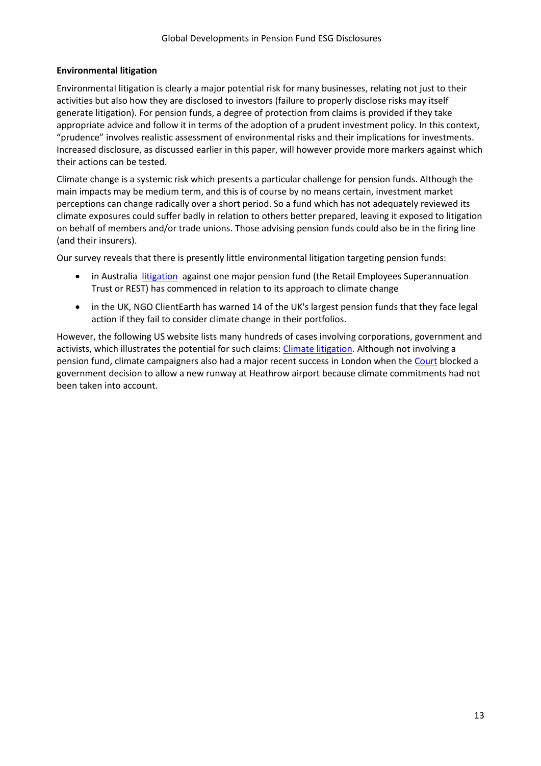### **Environmental litigation**

Environmental litigation is clearly a major potential risk for many businesses, relating not just to their activities but also how they are disclosed to investors (failure to properly disclose risks may itself generate litigation). For pension funds, a degree of protection from claims is provided if they take appropriate advice and follow it in terms of the adoption of a prudent investment policy. In this context, "prudence" involves realistic assessment of environmental risks and their implications for investments. Increased disclosure, as discussed earlier in this paper, will however provide more markers against which their actions can be tested.

Climate change is a systemic risk which presents a particular challenge for pension funds. Although the main impacts may be medium term, and this is of course by no means certain, investment market perceptions can change radically over a short period. So a fund which has not adequately reviewed its climate exposures could suffer badly in relation to others better prepared, leaving it exposed to litigation on behalf of members and/or trade unions. Those advising pension funds could also be in the firing line (and their insurers).

Our survey reveals that there is presently little environmental litigation targeting pension funds:

- in Australia [litigation](https://www.abc.net.au/news/2020-01-18/mark-mcveigh-is-taking-on-rest-super-and-has-the-world-watching/11876360) against one major pension fund (the Retail Employees Superannuation Trust or REST) has commenced in relation to its approach to climate change
- in the UK, NGO ClientEarth has warned 14 of the UK's largest pension funds that they face legal action if they fail to consider climate change in their portfolios.

However, the following US website lists many hundreds of cases involving corporations, government and activists, which illustrates the potential for such claims[: Climate litigation.](http://climatecasechart.com/?cn-reloaded=1) Although not involving a pension fund, climate campaigners also had a major recent success in London when the [Court](https://www.bbc.co.uk/news/business-51658693) blocked a government decision to allow a new runway at Heathrow airport because climate commitments had not been taken into account.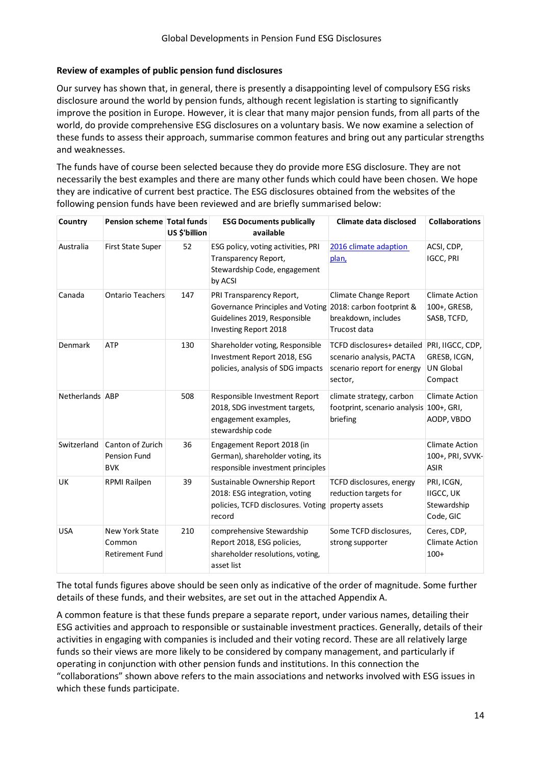### **Review of examples of public pension fund disclosures**

Our survey has shown that, in general, there is presently a disappointing level of compulsory ESG risks disclosure around the world by pension funds, although recent legislation is starting to significantly improve the position in Europe. However, it is clear that many major pension funds, from all parts of the world, do provide comprehensive ESG disclosures on a voluntary basis. We now examine a selection of these funds to assess their approach, summarise common features and bring out any particular strengths and weaknesses.

The funds have of course been selected because they do provide more ESG disclosure. They are not necessarily the best examples and there are many other funds which could have been chosen. We hope they are indicative of current best practice. The ESG disclosures obtained from the websites of the following pension funds have been reviewed and are briefly summarised below:

| Country         | Pension scheme Total funds                            | US \$'billion | <b>ESG Documents publically</b><br>available                                                                                                          | <b>Climate data disclosed</b>                                                                   | <b>Collaborations</b>                                           |
|-----------------|-------------------------------------------------------|---------------|-------------------------------------------------------------------------------------------------------------------------------------------------------|-------------------------------------------------------------------------------------------------|-----------------------------------------------------------------|
| Australia       | <b>First State Super</b>                              | 52            | ESG policy, voting activities, PRI<br>Transparency Report,<br>Stewardship Code, engagement<br>by ACSI                                                 | 2016 climate adaption<br>plan,                                                                  | ACSI, CDP,<br><b>IGCC, PRI</b>                                  |
| Canada          | <b>Ontario Teachers</b>                               | 147           | PRI Transparency Report,<br>Governance Principles and Voting 2018: carbon footprint &<br>Guidelines 2019, Responsible<br><b>Investing Report 2018</b> | Climate Change Report<br>breakdown, includes<br>Trucost data                                    | <b>Climate Action</b><br>100+, GRESB,<br>SASB, TCFD,            |
| Denmark         | <b>ATP</b>                                            | 130           | Shareholder voting, Responsible<br>Investment Report 2018, ESG<br>policies, analysis of SDG impacts                                                   | TCFD disclosures+ detailed<br>scenario analysis, PACTA<br>scenario report for energy<br>sector, | PRI, IIGCC, CDP,<br>GRESB, ICGN,<br><b>UN Global</b><br>Compact |
| Netherlands ABP |                                                       | 508           | Responsible Investment Report<br>2018, SDG investment targets,<br>engagement examples,<br>stewardship code                                            | climate strategy, carbon<br>footprint, scenario analysis 100+, GRI,<br>briefing                 | <b>Climate Action</b><br>AODP, VBDO                             |
| Switzerland     | Canton of Zurich<br><b>Pension Fund</b><br><b>BVK</b> | 36            | Engagement Report 2018 (in<br>German), shareholder voting, its<br>responsible investment principles                                                   |                                                                                                 | <b>Climate Action</b><br>100+, PRI, SVVK-<br><b>ASIR</b>        |
| UK              | RPMI Railpen                                          | 39            | Sustainable Ownership Report<br>2018: ESG integration, voting<br>policies, TCFD disclosures. Voting<br>record                                         | TCFD disclosures, energy<br>reduction targets for<br>property assets                            | PRI, ICGN,<br><b>IIGCC, UK</b><br>Stewardship<br>Code, GIC      |
| <b>USA</b>      | New York State<br>Common<br><b>Retirement Fund</b>    | 210           | comprehensive Stewardship<br>Report 2018, ESG policies,<br>shareholder resolutions, voting,<br>asset list                                             | Some TCFD disclosures,<br>strong supporter                                                      | Ceres, CDP,<br><b>Climate Action</b><br>$100+$                  |

The total funds figures above should be seen only as indicative of the order of magnitude. Some further details of these funds, and their websites, are set out in the attached Appendix A.

A common feature is that these funds prepare a separate report, under various names, detailing their ESG activities and approach to responsible or sustainable investment practices. Generally, details of their activities in engaging with companies is included and their voting record. These are all relatively large funds so their views are more likely to be considered by company management, and particularly if operating in conjunction with other pension funds and institutions. In this connection the "collaborations" shown above refers to the main associations and networks involved with ESG issues in which these funds participate.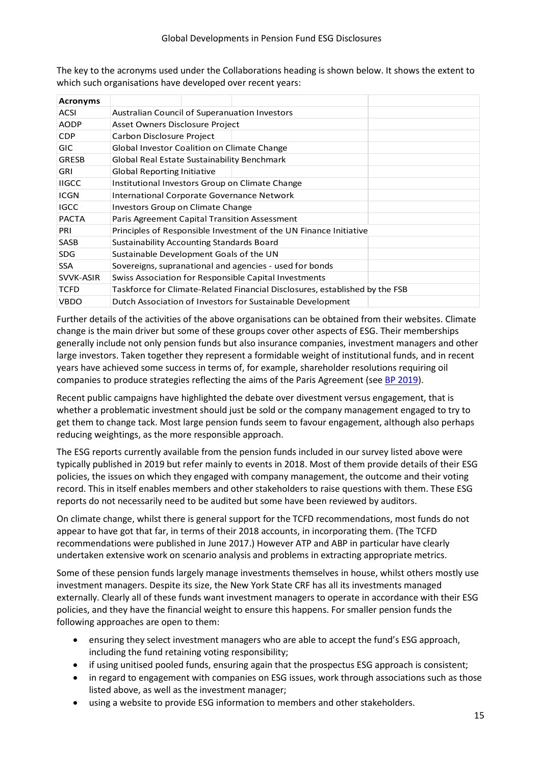The key to the acronyms used under the Collaborations heading is shown below. It shows the extent to which such organisations have developed over recent years:

| <b>Acronyms</b> |                                                                                                                                                                                                                                                                                                                                                                                                                                                                                                                         |  |  |  |  |  |
|-----------------|-------------------------------------------------------------------------------------------------------------------------------------------------------------------------------------------------------------------------------------------------------------------------------------------------------------------------------------------------------------------------------------------------------------------------------------------------------------------------------------------------------------------------|--|--|--|--|--|
| <b>ACSI</b>     | Australian Council of Superanuation Investors                                                                                                                                                                                                                                                                                                                                                                                                                                                                           |  |  |  |  |  |
| <b>AODP</b>     | Asset Owners Disclosure Project                                                                                                                                                                                                                                                                                                                                                                                                                                                                                         |  |  |  |  |  |
| <b>CDP</b>      | Carbon Disclosure Project                                                                                                                                                                                                                                                                                                                                                                                                                                                                                               |  |  |  |  |  |
| <b>GIC</b>      | Global Investor Coalition on Climate Change                                                                                                                                                                                                                                                                                                                                                                                                                                                                             |  |  |  |  |  |
| <b>GRESB</b>    | Global Real Estate Sustainability Benchmark                                                                                                                                                                                                                                                                                                                                                                                                                                                                             |  |  |  |  |  |
| <b>GRI</b>      | <b>Global Reporting Initiative</b>                                                                                                                                                                                                                                                                                                                                                                                                                                                                                      |  |  |  |  |  |
| <b>IIGCC</b>    | Institutional Investors Group on Climate Change                                                                                                                                                                                                                                                                                                                                                                                                                                                                         |  |  |  |  |  |
| <b>ICGN</b>     | <b>International Corporate Governance Network</b>                                                                                                                                                                                                                                                                                                                                                                                                                                                                       |  |  |  |  |  |
| <b>IGCC</b>     | Investors Group on Climate Change                                                                                                                                                                                                                                                                                                                                                                                                                                                                                       |  |  |  |  |  |
| <b>PACTA</b>    | Paris Agreement Capital Transition Assessment                                                                                                                                                                                                                                                                                                                                                                                                                                                                           |  |  |  |  |  |
| PRI             | Principles of Responsible Investment of the UN Finance Initiative                                                                                                                                                                                                                                                                                                                                                                                                                                                       |  |  |  |  |  |
| SASB            | Sustainability Accounting Standards Board                                                                                                                                                                                                                                                                                                                                                                                                                                                                               |  |  |  |  |  |
| SDG             | Sustainable Development Goals of the UN                                                                                                                                                                                                                                                                                                                                                                                                                                                                                 |  |  |  |  |  |
| <b>SSA</b>      | Sovereigns, supranational and agencies - used for bonds                                                                                                                                                                                                                                                                                                                                                                                                                                                                 |  |  |  |  |  |
| SVVK-ASIR       | Swiss Association for Responsible Capital Investments                                                                                                                                                                                                                                                                                                                                                                                                                                                                   |  |  |  |  |  |
| <b>TCFD</b>     | Taskforce for Climate-Related Financial Disclosures, established by the FSB                                                                                                                                                                                                                                                                                                                                                                                                                                             |  |  |  |  |  |
| <b>VBDO</b>     | Dutch Association of Investors for Sustainable Development                                                                                                                                                                                                                                                                                                                                                                                                                                                              |  |  |  |  |  |
|                 | generally include not only pension funds but also insurance companies, investment managers and other<br>large investors. Taken together they represent a formidable weight of institutional funds, and in recent<br>years have achieved some success in terms of, for example, shareholder resolutions requiring oil<br>companies to produce strategies reflecting the aims of the Paris Agreement (see BP 2019).                                                                                                       |  |  |  |  |  |
|                 | Recent public campaigns have highlighted the debate over divestment versus engagement, that is<br>whether a problematic investment should just be sold or the company management engaged to try to<br>get them to change tack. Most large pension funds seem to favour engagement, although also perhaps<br>reducing weightings, as the more responsible approach.                                                                                                                                                      |  |  |  |  |  |
|                 | The ESG reports currently available from the pension funds included in our survey listed above were<br>typically published in 2019 but refer mainly to events in 2018. Most of them provide details of their ESG<br>policies, the issues on which they engaged with company management, the outcome and their voting<br>record. This in itself enables members and other stakeholders to raise questions with them. These ESG<br>reports do not necessarily need to be audited but some have been reviewed by auditors. |  |  |  |  |  |
|                 | On climate change, whilst there is general support for the TCFD recommendations, most funds do not<br>appear to have got that far, in terms of their 2018 accounts, in incorporating them. (The TCFD<br>recommendations were published in June 2017.) However ATP and ABP in particular have clearly<br>undertaken extensive work on scenario analysis and problems in extracting appropriate metrics.                                                                                                                  |  |  |  |  |  |
|                 | Some of these pension funds largely manage investments themselves in house, whilst others mostly use<br>investment managers. Despite its size, the New York State CRF has all its investments managed<br>externally. Clearly all of these funds want investment managers to operate in accordance with their ESG<br>policies, and they have the financial weight to ensure this happens. For smaller pension funds the<br>following approaches are open to them:                                                        |  |  |  |  |  |
| ٠<br>٠          | ensuring they select investment managers who are able to accept the fund's ESG approach,<br>including the fund retaining voting responsibility;<br>if using unitised pooled funds, ensuring again that the prospectus ESG approach is consistent;<br>in regard to engagement with companies on ESG issues, work through associations such as those<br>listed above, as well as the investment manager;<br>using a website to provide ESG information to members and other stakeholders.                                 |  |  |  |  |  |

- ensuring they select investment managers who are able to accept the fund's ESG approach, including the fund retaining voting responsibility;
- if using unitised pooled funds, ensuring again that the prospectus ESG approach is consistent;
- in regard to engagement with companies on ESG issues, work through associations such as those listed above, as well as the investment manager;
-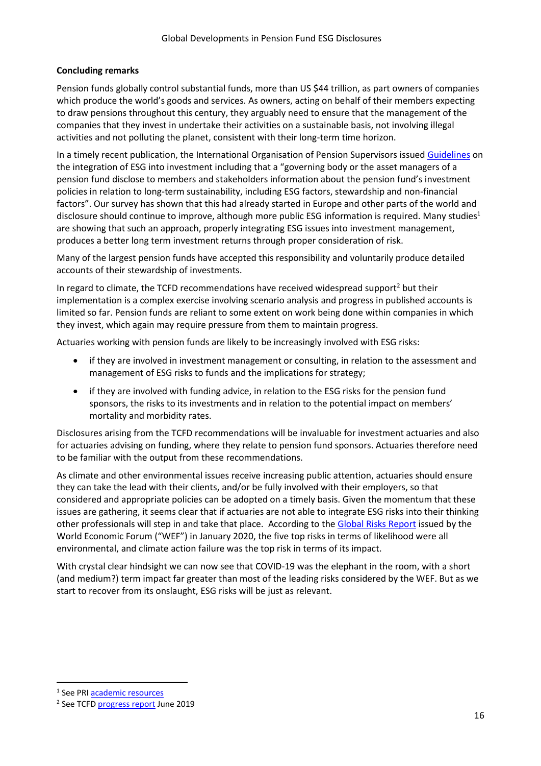### **Concluding remarks**

Pension funds globally control substantial funds, more than US \$44 trillion, as part owners of companies which produce the world's goods and services. As owners, acting on behalf of their members expecting to draw pensions throughout this century, they arguably need to ensure that the management of the companies that they invest in undertake their activities on a sustainable basis, not involving illegal activities and not polluting the planet, consistent with their long-term time horizon.

In a timely recent publication, the International Organisation of Pension Supervisors issued [Guidelines](http://www.iopsweb.org/iops-supervisory-guidelines-esg-factors.htm) on the integration of ESG into investment including that a "governing body or the asset managers of a pension fund disclose to members and stakeholders information about the pension fund's investment policies in relation to long-term sustainability, including ESG factors, stewardship and non-financial factors". Our survey has shown that this had already started in Europe and other parts of the world and disclosure should continue to improve, although more public ESG information is required. Many studies<sup>1</sup> are showing that such an approach, properly integrating ESG issues into investment management, produces a better long term investment returns through proper consideration of risk.

Many of the largest pension funds have accepted this responsibility and voluntarily produce detailed accounts of their stewardship of investments.

In regard to climate, the TCFD recommendations have received widespread support<sup>2</sup> but their implementation is a complex exercise involving scenario analysis and progress in published accounts is limited so far. Pension funds are reliant to some extent on work being done within companies in which they invest, which again may require pressure from them to maintain progress.

Actuaries working with pension funds are likely to be increasingly involved with ESG risks:

- if they are involved in investment management or consulting, in relation to the assessment and management of ESG risks to funds and the implications for strategy;
- if they are involved with funding advice, in relation to the ESG risks for the pension fund sponsors, the risks to its investments and in relation to the potential impact on members' mortality and morbidity rates.

Disclosures arising from the TCFD recommendations will be invaluable for investment actuaries and also for actuaries advising on funding, where they relate to pension fund sponsors. Actuaries therefore need to be familiar with the output from these recommendations.

As climate and other environmental issues receive increasing public attention, actuaries should ensure they can take the lead with their clients, and/or be fully involved with their employers, so that considered and appropriate policies can be adopted on a timely basis. Given the momentum that these issues are gathering, it seems clear that if actuaries are not able to integrate ESG risks into their thinking other professionals will step in and take that place. According to th[e Global Risks Report](https://www.weforum.org/reports/the-global-risks-report-2020) issued by the World Economic Forum ("WEF") in January 2020, the five top risks in terms of likelihood were all environmental, and climate action failure was the top risk in terms of its impact.

With crystal clear hindsight we can now see that COVID-19 was the elephant in the room, with a short (and medium?) term impact far greater than most of the leading risks considered by the WEF. But as we start to recover from its onslaught, ESG risks will be just as relevant.

<sup>&</sup>lt;sup>1</sup> See PRI <u>academic resources</u>

<sup>&</sup>lt;sup>2</sup> See TCFD **progress report** June 2019